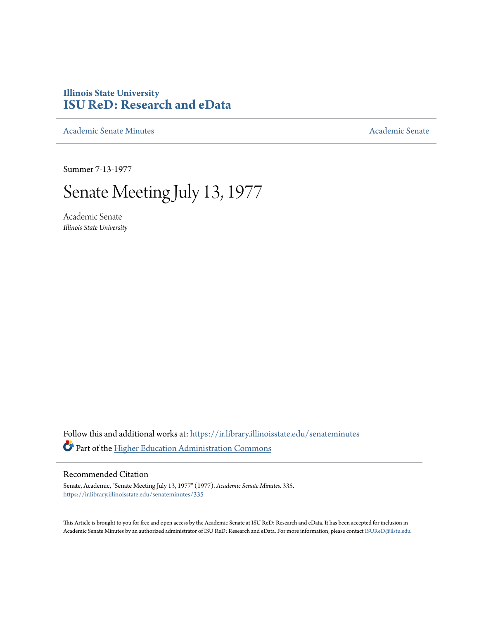## **Illinois State University [ISU ReD: Research and eData](https://ir.library.illinoisstate.edu?utm_source=ir.library.illinoisstate.edu%2Fsenateminutes%2F335&utm_medium=PDF&utm_campaign=PDFCoverPages)**

[Academic Senate Minutes](https://ir.library.illinoisstate.edu/senateminutes?utm_source=ir.library.illinoisstate.edu%2Fsenateminutes%2F335&utm_medium=PDF&utm_campaign=PDFCoverPages) [Academic Senate](https://ir.library.illinoisstate.edu/senate?utm_source=ir.library.illinoisstate.edu%2Fsenateminutes%2F335&utm_medium=PDF&utm_campaign=PDFCoverPages) Academic Senate

Summer 7-13-1977

# Senate Meeting July 13, 1977

Academic Senate *Illinois State University*

Follow this and additional works at: [https://ir.library.illinoisstate.edu/senateminutes](https://ir.library.illinoisstate.edu/senateminutes?utm_source=ir.library.illinoisstate.edu%2Fsenateminutes%2F335&utm_medium=PDF&utm_campaign=PDFCoverPages) Part of the [Higher Education Administration Commons](http://network.bepress.com/hgg/discipline/791?utm_source=ir.library.illinoisstate.edu%2Fsenateminutes%2F335&utm_medium=PDF&utm_campaign=PDFCoverPages)

### Recommended Citation

Senate, Academic, "Senate Meeting July 13, 1977" (1977). *Academic Senate Minutes*. 335. [https://ir.library.illinoisstate.edu/senateminutes/335](https://ir.library.illinoisstate.edu/senateminutes/335?utm_source=ir.library.illinoisstate.edu%2Fsenateminutes%2F335&utm_medium=PDF&utm_campaign=PDFCoverPages)

This Article is brought to you for free and open access by the Academic Senate at ISU ReD: Research and eData. It has been accepted for inclusion in Academic Senate Minutes by an authorized administrator of ISU ReD: Research and eData. For more information, please contact [ISUReD@ilstu.edu.](mailto:ISUReD@ilstu.edu)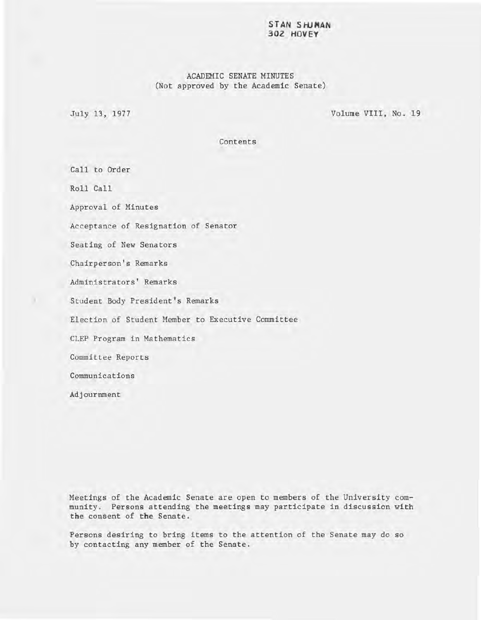#### **STAN SHJMAN 302 HOVEY**

### ACADEMIC SENATE MINUTES (Not approved by the Academic Senate)

July 13, 1977

Volume VIII, No. 19

Contents

Call to Order Roll Call Approval of Minutes Acceptance of Resignation of Senator Seating of New Senators Chairperson's Remarks Administrators' Remarks Student Body President's Remarks Election of Student Member to Executive Committee CLEP Program in Mathematics Committee Reports Communications Adjournment

Meetings of the Academic Senate are open to members of the University community. Persons attending the meetings may participate in discussion with the consent of the Senate.

Persons desiring to bring items to the attention of the Senate may do so by contacting any member of the Senate.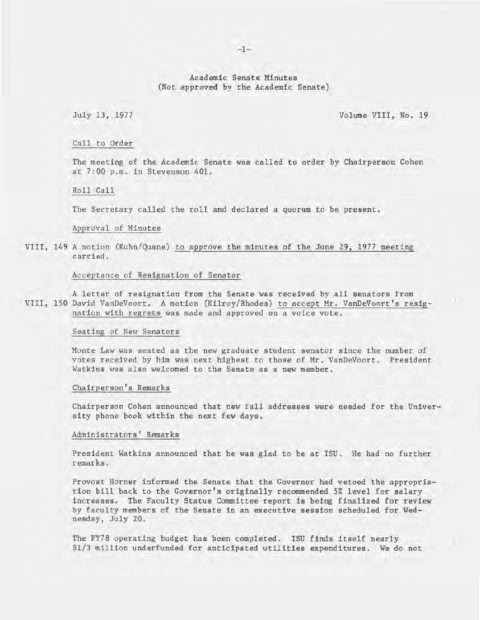Academic Senate Minutes (Not approved by the Academic Senate)

July 13, 1977 Volume VIII, No. 19

#### Call to Order

The meeting of the Academic Senate was called to order by Chairperson Cohen at 7:00 p .m. in Stevenson 401.

#### Roll Call

The Secretary called the roll and declared a quorum to be present.

#### Approval of Minutes

VIII, 149 A motion (Kuhn/Quane) to approve the minutes of the June 29, 1977 meeting carried.

#### Acceptance of Resignation of Senator

A letter of resignation from the Senate was received by all senators from VIII, 150 David VanDeVoort. A motion (Kilroy/Rhodes) to accept Mr. VanDeVoort's resignation with regrets was made and approved on a voice vote.

#### Seating of New Senators

Monte Law was seated as the new graduate student senator since the number of votes received by him was next highest to those of Mr. VanDeVoort. President Watkins was also welcomed to the Senate as a new member.

#### Chairperson's Remarks

Chairperson Cohen announced that new fall addresses were needed for the University phone book within the next few days.

#### Administrators' Remarks

President Watkins announced that he was glad to be at ISU. He had no further remarks.

Provost Horner informed the Senate that the Governor had vetoed the appropriation bill back to the Governor's originally recommended 5% level for salary increases. The Faculty Status Committee report is being finalized for review by faculty members of the Senate in an executive session scheduled for Wednesday, July 20.

The FY78 operating budget has been completed. ISU finds itself nearly \$1/3 million underfunded for anticipated utilities expenditures. We do not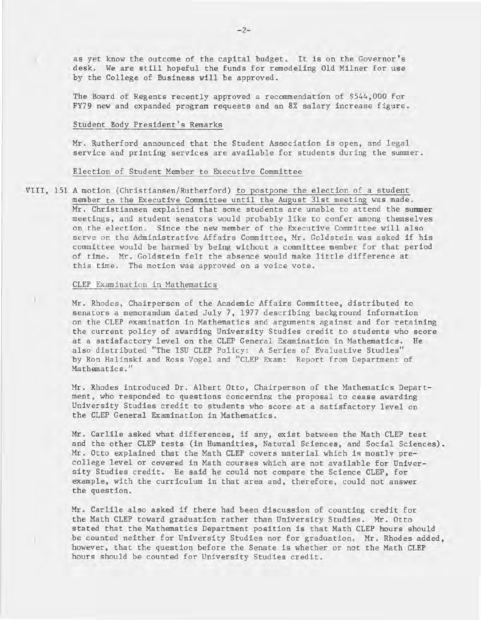) as yet know the outcome of the capital budget. It is on the Governor's desk. We are still hopeful the funds for remodeling Old Milner for use by the College of Business will be approved.

The Board of Regents recently approved a recommendation of \$544,000 for FY79 new and expanded program requests and an 8% salary increase figure.

#### Student Body President's Remarks

Mr. Rutherford announced that the Student Association is open, and legal service and printing services are available for students during the summer.

#### Election of Student Member to Executive Committee

VIII, 151 A motion (Christiansen/Rutherford) to postpone the election of a student member to the Executive Committee until the August 31st meeting was made. Mr. Christiansen explained that some students are unable to attend the summer meetings, and student senators would probably like to confer among themselves on the election. Since the new member of the Executive Committee will also serve on the Administrative Affairs Committee, Mr. Goldstein was asked if his committee would be harmed by being without a committee member for that period of time. Mr. Goldstein felt the absence would make little difference at this time. The motion was approved on a voice vote.

#### CLEP Examination in Mathematics

)

Mr. Rhodes, Chairperson of the Academic Affairs Committee, distributed to senators a memorandum dated July 7, 1977 describing background information on the CLEP examination in Mathematics and arguments against and for retaining the current policy of awarding University Studies credit to students who score at a satisfactory level on the CLEP General Examination in Mathematics. He also distributed "The ISU CLEP Policy: A Series of Evaluative Studies" by Ron Halinski and Ross Vogel and "CLEP Exam: Report from Department of Mathematics."

Mr. Rhodes introduced Dr. Albert Otto, Chairperson of the Mathematics Department, who responded to questions concerning the proposal to cease awarding University Studies credit to students who score at a satisfactory level on the CLEP General Examination in Mathematics.

Mr. Carlile asked what differences, if any, exist between the Math CLEP test and the other CLEP tests (in Humanities, Natural Sciences, and Social Sciences). Mr. Otto explained that the Math CLEP covers material which is mostly precollege level or covered in Math courses which are not available for University Studies credit. He said he could not compare the Science CLEP, for example, with the curriculum in that area and, therefore, could not answer the question.

Mr. Carlile also asked if there had been discussion of counting credit for the Math CLEP toward graduation rather than University Studies. Mr. Otto stated that the Mathematics Department position is that Math CLEP hours should be counted neither for University Studies nor for graduation. Mr. Rhodes added, however, that the question before the Senate is whether or not the Math CLEP hours should be counted for University Studies credit.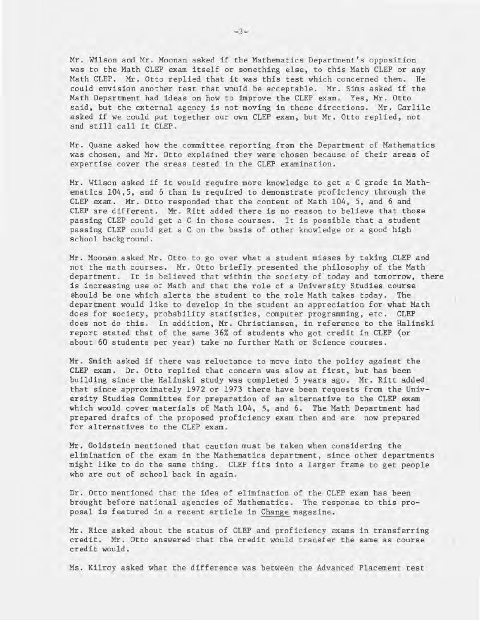Mr. Wilson and Mr. Moonan asked if the Mathematics Department's opposition was to the Math CLEP exam itself or something else, to this Math CLEP or any Math CLEP. Mr. Otto replied that it was this test which concerned them. He could envision another test that would be acceptable. Mr. Sims asked if the Math Department had ideas on how to improve the CLEP exam. Yes, Mr. Otto said, but the external agency is not moving in these directions. Mr. Carlile asked if we could put together our own CLEP exam, but Mr. Otto replied, not and still call it CLEP .

Mr. Quane asked how the committee reporting from the Department of Mathematics was chosen, and Mr. Otto explained they were chosen because of their areas of expertise cover the areas tested in the CLEP examination.

Mr. Wilson asked if it would require more knowledge to get a C grade in Mathematics 104,5, and 6 than is required to demonstrate proficiency through the CLEP exam. Mr. Otto responded that the content of Math 104, 5, and 6 and CLEP are different. Mr. Ritt added there is no reason to believe that those passing CLEP could get a C in those courses. It is possible that a student passing CLEP could get a C on the basis of other knowledge or a good high school background.

Mr. Moonan asked Mr. Otto to go over what a student misses by taking CLEP and not the math courses. Mr. Otto briefly presented the philosophy of the Math department. It is believed that within the society of today and tomorrow, there is increasing use of Math and that the role of a University Studies course should be one which alerts the student to the role Math takes today. The department would like to develop in the student an appreciation for what Math does for society, probability statistics, computer programming, etc. CLEP does not do this. In addition, Mr. Christiansen, in reference to the Halinski report stated that of the same 36% of students who got credit in CLEP (or about 60 students per year) take no further Math or Science courses.

Mr. Smith asked if there was reluctance to move into the policy against the CLEP exam. Dr. Otto replied that concern was slow at first, but has been building since the Ha1inski study was completed 5 years ago. Mr. Ritt added that since approximately 1972 or 1973 there have been requests from the University Studies Committee for preparation of an alternative to the CLEP exam which would cover materials of Math 104, 5, and 6. The Math Department had prepared drafts of the proposed proficiency exam then and are now prepared for alternatives to the CLEP exam.

Mr. Goldstein mentioned that caution must be taken when considering the elimination of the exam in the Mathematics department, since other departments might like to do the same thing. CLEP fits into a larger frame to get people who are out of school back in again.

Dr. Otto mentioned that the idea of elimination of the CLEP exam has been brought before national agencies of Mathematics. The response to this proposal is featured in a recent article in Change magazine.

Mr. Rice asked about the status of CLEP and proficiency exams in transferring credit. Mr. Otto answered that the credit would transfer the same as course credit would.

Ms. Kilroy asked what the difference was between the Advanced Placement test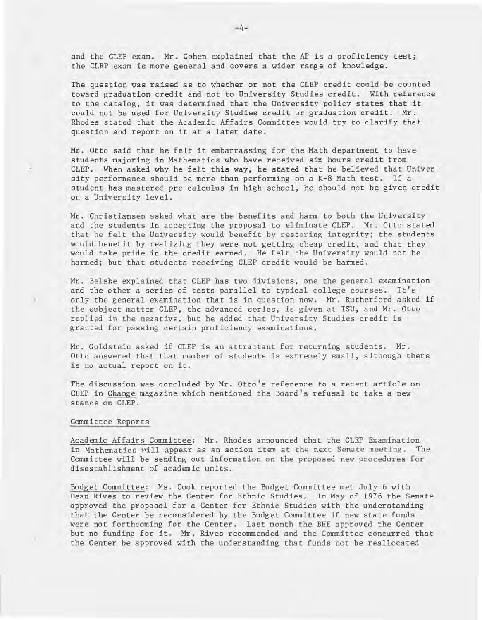and the CLEP exam. Mr. Cohen explained that the AP is a proficiency test; the CLEP exam is more general and covers a wider range of knowledge.

The question was raised as to whether or not the CLEP credit could be counted toward graduation credit and not to University Studies credit. With reference to the catalog, it was determined that the University policy states that it could not be used for University Studies credit or graduation credit. Mr. Rhodes stated that the Academic Affairs Committee would try to clarify that question and report on it at a later date.

Mr. Otto said that he felt it embarrassing for the Math department to have students majoring in Mathematics who have received six hours credit from CLEP. When asked why he felt this way, he stated that he believed that University performance should be more than performing on a K-8 Math test. If a student has mastered pre-calculus in high school, he should not be given credit on a University level.

Mr. Christiansen a sked what are the benefits and harm to both the University and the students in accepting the proposal to eliminate CLEP. Mr. Otto stated that he felt the University would benefit by restoring integrity; the students would benefit by realizing they were not getting cheap credit, and that they would take pride in the credit earned. He felt the University would not be harmed; but that students receiving CLEP credit would be harmed.

Mr. Belshe explained that CLEP has two divisions, one the general examination and the other a series of tests parallel to typical college courses. It's only the general examination that is in question now. Mr. Rutherford asked if the subject matter CLEP, the advanced series, is given at ISU, and Mr. Otto replied in the negative, but he added that University Studies credit is granted for passing certain proficiency examinations.

Mr. Goldstein asked if CLEP is an attractant for returning students. Mr. Otto answered that that number of students is extremely small, although there is no actual report on it.

The discussion was concluded by Mr. Otto's reference to a recent article on CLEP in Change magazine which mentioned the Board's refusal to take a new stance on CLEP.

#### Committee Reports

Academic Affairs Committee: Mr. Rhodes announced that the CLEP Examination in Mathematics will appear as an action item at the next Senate meeting. The Committee will be sending out information on the proposed new procedures for disestablishment of academic units.

Budget Committee: Ms. Cook reported the Budget Committee met July 6 with Dean Rives to review the Center for Ethnic Studies. In May of 1976 the Senate approved the proposal for a Center for Ethnic Studies with the understanding that the Center be reconsidered by the Budget Committee if new state funds were not forthcoming for the Center. Last month the BHE approved the Center but no funding for  $it_+$  Mr. Rives recommended and the Committee concurred that the Center be approved with the understanding that funds not be reallocated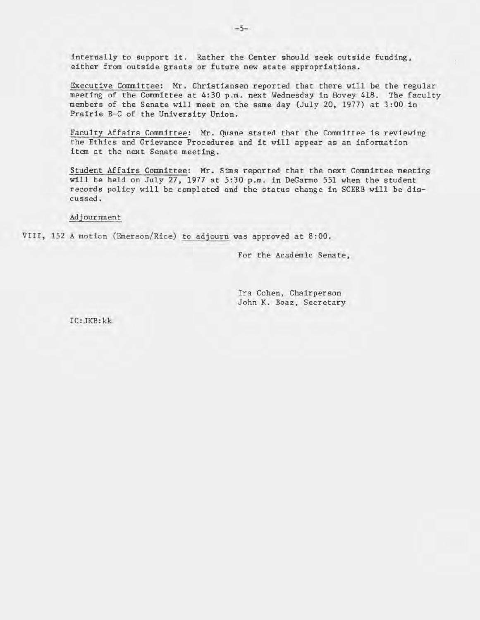internally to support it. Rather the Center should seek outside funding, either from outside grants or future new state appropriations.

Executive Committee: Mr. Christiansen reported that there will be the regular meeting of the Committee at 4:30 p.m. next Wednesday in Hovey 418. The faculty members of the Senate will meet on the same day (July 20, 1977) at 3:00 in Prairie B-C of the University Union.

Faculty Affairs Committee: Mr. Quane stated that the Committee is reviewing the Ethics and Grievance Procedures and it will appear as an information item at the next Senate meeting.

Student Affairs Committee: Mr. Sims reported that the next Committee meeting will be held on July 27, 1977 at 5:30 p.m. in DeGarmo 551 when the student records policy will be completed and the status change in SCERB will be discussed.

Adjournment

VIII, 152 A motion (Emerson/Rice) to adjourn was approved at 8:00.

For the Academic Senate,

Ira Cohen, Chairperson John K. Boaz, Secretary

IC:JKB:kk